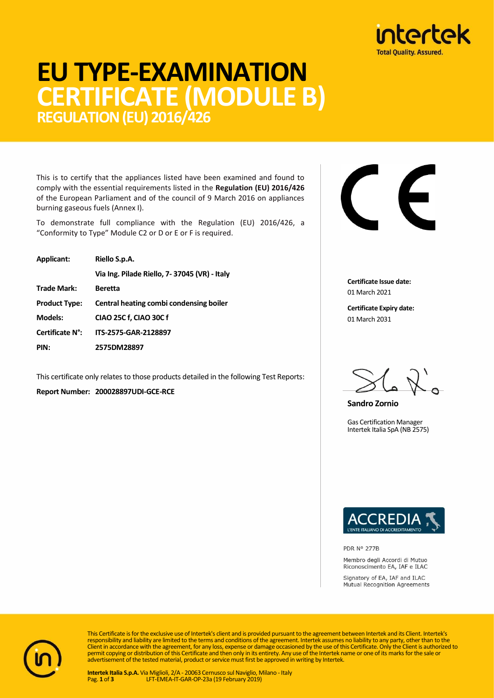

# **EU TYPE-EXAMINATION CERTIFICATE (MODULE B) REGULATION (EU) 2016/426**

This is to certify that the appliances listed have been examined and found to comply with the essential requirements listed in the **Regulation (EU) 2016/426** of the European Parliament and of the council of 9 March 2016 on appliances burning gaseous fuels (Annex I).

To demonstrate full compliance with the Regulation (EU) 2016/426, a "Conformity to Type" Module C2 or D or E or F is required.

| Applicant:           | Riello S.p.A.                                |  |  |  |
|----------------------|----------------------------------------------|--|--|--|
|                      | Via Ing. Pilade Riello, 7-37045 (VR) - Italy |  |  |  |
| <b>Trade Mark:</b>   | Beretta                                      |  |  |  |
| <b>Product Type:</b> | Central heating combi condensing boiler      |  |  |  |
| <b>Models:</b>       | CIAO 25C f, CIAO 30C f                       |  |  |  |
| Certificate N°:      | ITS-2575-GAR-2128897                         |  |  |  |
| PIN:                 | 2575DM28897                                  |  |  |  |

This certificate only relates to those products detailed in the following Test Reports: **Report Number: 200028897UDI-GCE-RCE**



**Certificate Issue date:** 01 March 2021

**Certificate Expiry date:** 01 March 2031

**Sandro Zornio**

Gas Certification Manager Intertek Italia SpA (NB 2575)



PDR Nº 277B

Membro degli Accordi di Mutuo Riconoscimento EA, IAF e ILAC

Signatory of EA, IAF and ILAC Mutual Recognition Agreements



This Certificate is for the exclusive use of Intertek's client and is provided pursuant to the agreement between Intertek and its Client. Intertek's responsibility and liability are limited to the terms and conditions of the agreement. Intertek assumes no liability to any party, other than to the<br>Client in accordance with the agreement, for any loss, expense or damage permit copying or distribution of this Certificate and then only in its entirety. Any use of the Intertek name or one of its marks for the sale or advertisement of the tested material, product or service must first be approved in writing by Intertek.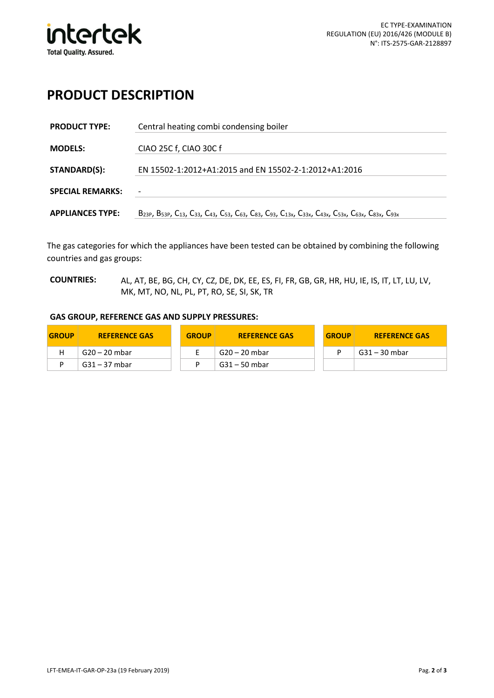

#### **PRODUCT DESCRIPTION**

| <b>PRODUCT TYPE:</b>    | Central heating combi condensing boiler                                                                                                                                                                                                                                                                |  |  |  |  |
|-------------------------|--------------------------------------------------------------------------------------------------------------------------------------------------------------------------------------------------------------------------------------------------------------------------------------------------------|--|--|--|--|
| <b>MODELS:</b>          | CIAO 25C f, CIAO 30C f                                                                                                                                                                                                                                                                                 |  |  |  |  |
| <b>STANDARD(S):</b>     | EN 15502-1:2012+A1:2015 and EN 15502-2-1:2012+A1:2016                                                                                                                                                                                                                                                  |  |  |  |  |
| <b>SPECIAL REMARKS:</b> | $\overline{\phantom{a}}$                                                                                                                                                                                                                                                                               |  |  |  |  |
| <b>APPLIANCES TYPE:</b> | B <sub>23P</sub> , B <sub>53P</sub> , C <sub>13</sub> , C <sub>33</sub> , C <sub>43</sub> , C <sub>53</sub> , C <sub>63</sub> , C <sub>83</sub> , C <sub>93</sub> , C <sub>13x</sub> , C <sub>33x</sub> , C <sub>43x</sub> , C <sub>53x</sub> , C <sub>63x</sub> , C <sub>83x</sub> , C <sub>93x</sub> |  |  |  |  |

The gas categories for which the appliances have been tested can be obtained by combining the following countries and gas groups:

**COUNTRIES:** AL, AT, BE, BG, CH, CY, CZ, DE, DK, EE, ES, FI, FR, GB, GR, HR, HU, IE, IS, IT, LT, LU, LV, MK, MT, NO, NL, PL, PT, RO, SE, SI, SK, TR

#### **GAS GROUP, REFERENCE GAS AND SUPPLY PRESSURES:**

| <b>GROUP</b> | <b>REFERENCE GAS</b> | <b>GROUP</b> | <b>REFERENCE GAS</b> | <b>GROUP</b> | <b>REFERENCE GAS</b> |
|--------------|----------------------|--------------|----------------------|--------------|----------------------|
|              | G20 – 20 mbar        |              | .  G20 – 20 mbar     |              | . G31 – 30 mbar      |
|              | $G31 - 37$ mbar      |              | . G31 – 50 mbar      |              |                      |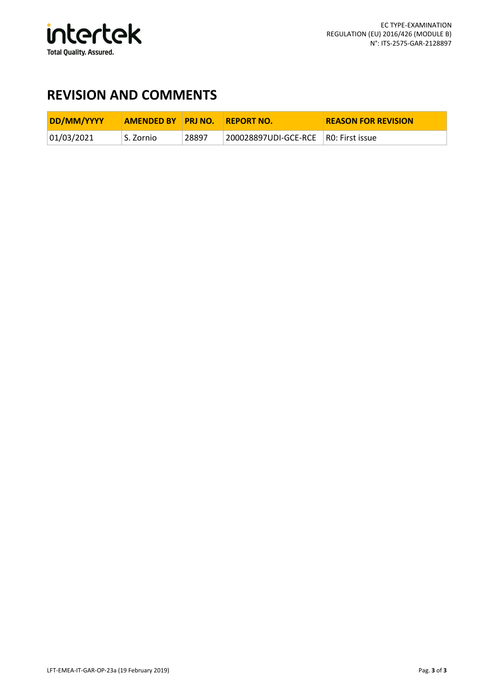

### **REVISION AND COMMENTS**

| DD/MM/YYYY | <b>AMENDED BY PRINO.</b> |       | <b>REPORT NO.</b>                    | <b>REASON FOR REVISION</b> |
|------------|--------------------------|-------|--------------------------------------|----------------------------|
| 01/03/2021 | S. Zornio                | 28897 | 200028897UDI-GCE-RCE R0: First issue |                            |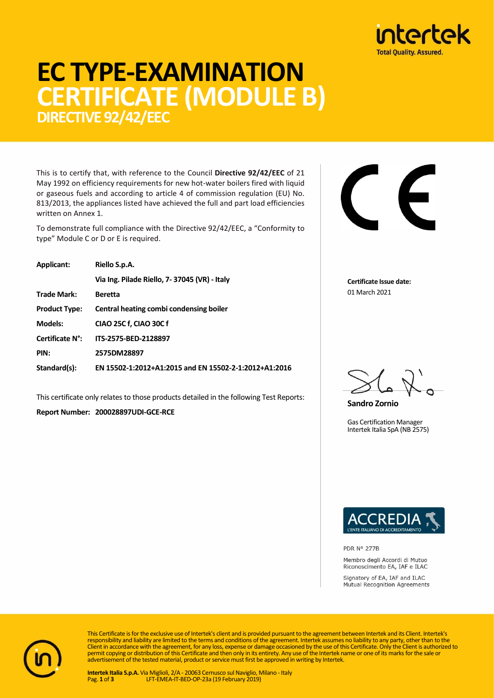

# **EC TYPE-EXAMINATION CERTIFICATE (MODULE B) DIRECTIVE 92/42/EEC**

This is to certify that, with reference to the Council **Directive 92/42/EEC** of 21 May 1992 on efficiency requirements for new hot-water boilers fired with liquid or gaseous fuels and according to article 4 of commission regulation (EU) No. 813/2013, the appliances listed have achieved the full and part load efficiencies written on Annex 1.

To demonstrate full compliance with the Directive 92/42/EEC, a "Conformity to type" Module C or D or E is required.

| <b>Applicant:</b>    | Riello S.p.A.                                         |  |  |  |  |
|----------------------|-------------------------------------------------------|--|--|--|--|
|                      | Via Ing. Pilade Riello, 7-37045 (VR) - Italy          |  |  |  |  |
| <b>Trade Mark:</b>   | <b>Beretta</b>                                        |  |  |  |  |
| <b>Product Type:</b> | Central heating combi condensing boiler               |  |  |  |  |
| <b>Models:</b>       | CIAO 25C f, CIAO 30C f                                |  |  |  |  |
| Certificate N°:      | ITS-2575-BED-2128897                                  |  |  |  |  |
| PIN:                 | 2575DM28897                                           |  |  |  |  |
| Standard(s):         | EN 15502-1:2012+A1:2015 and EN 15502-2-1:2012+A1:2016 |  |  |  |  |

This certificate only relates to those products detailed in the following Test Reports:

**Report Number: 200028897UDI-GCE-RCE**

**Certificate Issue date:** 01 March 2021

**Sandro Zornio**

Gas Certification Manager Intertek Italia SpA (NB 2575)



PDR Nº 277B

Membro degli Accordi di Mutuo Riconoscimento EA, IAF e ILAC

Signatory of EA, IAF and ILAC Mutual Recognition Agreements



This Certificate is for the exclusive use of Intertek's client and is provided pursuant to the agreement between Intertek and its Client. Intertek's responsibility and liability are limited to the terms and conditions of the agreement. Intertek assumes no liability to any party, other than to the<br>Client in accordance with the agreement, for any loss, expense or damage advertisement of the tested material, product or service must first be approved in writing by Intertek.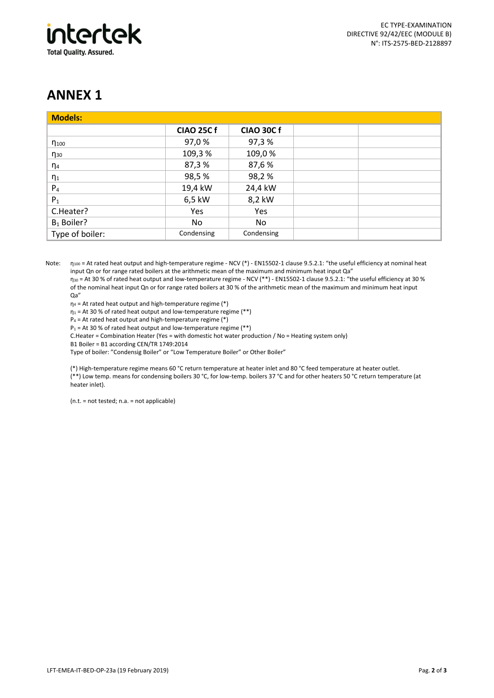

### **ANNEX 1**

| <b>Models:</b>  |                   |                   |  |
|-----------------|-------------------|-------------------|--|
|                 | <b>CIAO 25C f</b> | <b>CIAO 30C f</b> |  |
| $\eta_{100}$    | 97,0 %            | 97,3%             |  |
| $\eta_{30}$     | 109,3%            | 109,0%            |  |
| $\eta_4$        | 87,3%             | 87,6%             |  |
| $\eta_1$        | 98,5%             | 98,2%             |  |
| P <sub>4</sub>  | 19,4 kW           | 24,4 kW           |  |
| $P_1$           | 6,5 kW            | 8,2 kW            |  |
| C.Heater?       | Yes               | Yes               |  |
| $B_1$ Boiler?   | No                | No                |  |
| Type of boiler: | Condensing        | Condensing        |  |

Note: n<sub>100</sub> = At rated heat output and high-temperature regime - NCV (\*) - EN15502-1 clause 9.5.2.1: "the useful efficiency at nominal heat input Qn or for range rated boilers at the arithmetic mean of the maximum and minimum heat input Qa"

η<sup>30</sup> = At 30 % of rated heat output and low-temperature regime - NCV (\*\*) - EN15502-1 clause 9.5.2.1: "the useful efficiency at 30 % of the nominal heat input Qn or for range rated boilers at 30 % of the arithmetic mean of the maximum and minimum heat input Qa"

 $\eta_4$  = At rated heat output and high-temperature regime (\*)

 $\eta_1$  = At 30 % of rated heat output and low-temperature regime (\*\*)

 $P_4$  = At rated heat output and high-temperature regime (\*)

 $P_1$  = At 30 % of rated heat output and low-temperature regime (\*\*)

C.Heater = Combination Heater (Yes = with domestic hot water production / No = Heating system only)

B1 Boiler = B1 according CEN/TR 1749:2014

Type of boiler: "Condensig Boiler" or "Low Temperature Boiler" or Other Boiler"

(\*) High-temperature regime means 60 °C return temperature at heater inlet and 80 °C feed temperature at heater outlet. (\*\*) Low temp. means for condensing boilers 30 °C, for low-temp. boilers 37 °C and for other heaters 50 °C return temperature (at heater inlet).

(n.t. = not tested; n.a. = not applicable)